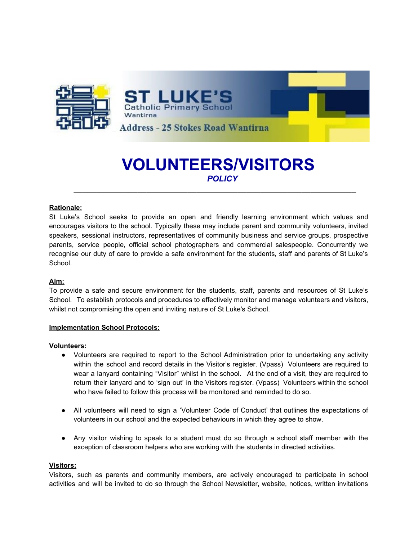

# **VOLUNTEERS/VISITORS** *POLICY*

*\_\_\_\_\_\_\_\_\_\_\_\_\_\_\_\_\_\_\_\_\_\_\_\_\_\_\_\_\_\_\_\_\_\_\_\_\_\_\_\_\_\_\_\_\_\_\_\_\_\_\_\_\_\_\_\_\_\_\_\_\_\_*

# **Rationale:**

St Luke's School seeks to provide an open and friendly learning environment which values and encourages visitors to the school. Typically these may include parent and community volunteers, invited speakers, sessional instructors, representatives of community business and service groups, prospective parents, service people, official school photographers and commercial salespeople. Concurrently we recognise our duty of care to provide a safe environment for the students, staff and parents of St Luke's School.

# **Aim:**

To provide a safe and secure environment for the students, staff, parents and resources of St Luke's School. To establish protocols and procedures to effectively monitor and manage volunteers and visitors, whilst not compromising the open and inviting nature of St Luke's School.

# **Implementation School Protocols:**

#### **Volunteers:**

- Volunteers are required to report to the School Administration prior to undertaking any activity within the school and record details in the Visitor's register. (Vpass) Volunteers are required to wear a lanyard containing "Visitor" whilst in the school. At the end of a visit, they are required to return their lanyard and to 'sign out' in the Visitors register. (Vpass) Volunteers within the school who have failed to follow this process will be monitored and reminded to do so.
- All volunteers will need to sign a 'Volunteer Code of Conduct' that outlines the expectations of volunteers in our school and the expected behaviours in which they agree to show.
- Any visitor wishing to speak to a student must do so through a school staff member with the exception of classroom helpers who are working with the students in directed activities.

# **Visitors:**

Visitors, such as parents and community members, are actively encouraged to participate in school activities and will be invited to do so through the School Newsletter, website, notices, written invitations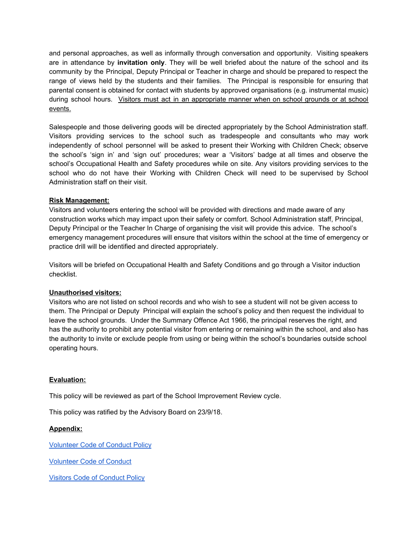and personal approaches, as well as informally through conversation and opportunity. Visiting speakers are in attendance by **invitation only**. They will be well briefed about the nature of the school and its community by the Principal, Deputy Principal or Teacher in charge and should be prepared to respect the range of views held by the students and their families. The Principal is responsible for ensuring that parental consent is obtained for contact with students by approved organisations (e.g. instrumental music) during school hours. Visitors must act in an appropriate manner when on school grounds or at school events.

Salespeople and those delivering goods will be directed appropriately by the School Administration staff. Visitors providing services to the school such as tradespeople and consultants who may work independently of school personnel will be asked to present their Working with Children Check; observe the school's 'sign in' and 'sign out' procedures; wear a 'Visitors' badge at all times and observe the school's Occupational Health and Safety procedures while on site. Any visitors providing services to the school who do not have their Working with Children Check will need to be supervised by School Administration staff on their visit.

# **Risk Management:**

Visitors and volunteers entering the school will be provided with directions and made aware of any construction works which may impact upon their safety or comfort. School Administration staff, Principal, Deputy Principal or the Teacher In Charge of organising the visit will provide this advice. The school's emergency management procedures will ensure that visitors within the school at the time of emergency or practice drill will be identified and directed appropriately.

Visitors will be briefed on Occupational Health and Safety Conditions and go through a Visitor induction checklist.

# **Unauthorised visitors:**

Visitors who are not listed on school records and who wish to see a student will not be given access to them. The Principal or Deputy Principal will explain the school's policy and then request the individual to leave the school grounds. Under the Summary Offence Act 1966, the principal reserves the right, and has the authority to prohibit any potential visitor from entering or remaining within the school, and also has the authority to invite or exclude people from using or being within the school's boundaries outside school operating hours.

# **Evaluation:**

This policy will be reviewed as part of the School Improvement Review cycle.

This policy was ratified by the Advisory Board on 23/9/18.

# **Appendix:**

[Volunteer](https://docs.google.com/document/d/19t327Uce4yr6p2L2n2u1sGSnugSaTyqkEYs-ItE9gQo/edit?usp=sharing) Code of Conduct Policy

[Volunteer](https://docs.google.com/document/d/19kIpV6olR0wanC_d1Qvd132xd-6VU05eTiSDgsMZMOI/edit?usp=sharing) Code of Conduct

Visitors Code of [Conduct](https://docs.google.com/document/d/1UF0M8KAclTY_izKvV-jliCIn_Izt8afDr6jj7sBgpHo/edit?usp=sharing) Policy